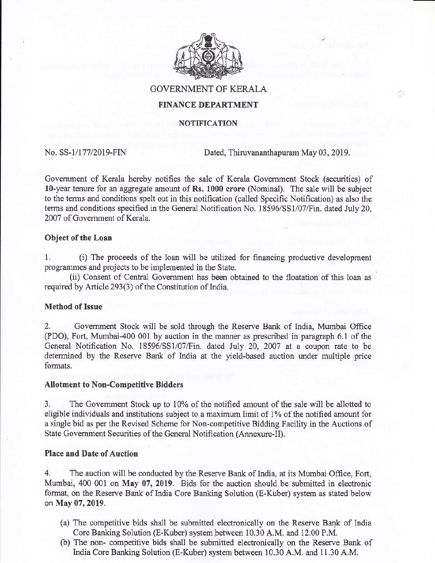

GOVERNMENT OF KERALA

# FINANCE DEPARTMENT

#### **NOTIFICATION**

No. SS-1/177/2019-FIN Dated, Thiruvananthapuram May 03, 2019.

Government of Kerala hereby notifies the sale of Kerala Government Stock (securities) of l0-year tenwe for an aggregate amount of Rs. 1000 crore (Nominal). The sale will be subject to the terms and conditions spelt out in this notification (called Specific Notification) as also the terms and conditions specified in the General Notification No. 18596/SS1/07/Fin. dated July 20, 2007 of Govemment of Kemla.

## Object of the Loan

1. (i) The proceeds of the loan will be utilized for financing productive development programmes and projects to be implemented in the State.

(ii) Consent of Central Government has been obtained to the floatation of this loan as required by Article 293(3) of the Constitution of India.

## **Method of Issue**

2. Government Stock will be sold through the Reserve Bank of India, Mumbai Office (PDO), Fort, Mumbai-400 001 by auction in the manner as prescribed in paragraph 6.1 of the General Notification No. 18596/SS1/07/Fin. dated July 20, 2007 at a coupon rate to be determined by the Reserve Bank of India at the yield-based auction under multiple price formats.

## Allotment to Non-Competitive Bidders

3. The Govemment Stock up to 10% of the notified amount of the sale will be allotted to eligible individuals and institutions subject to a maximum limit of 1% of the notified amount for <sup>a</sup>single bid as per the Revised Scheme for Non-competitive Bidding Facility in fhe Auctions of State Government Securities of the General Notification (Annexure-II).

## Place and Date of Auction

4. The auction will be conducted by the Reserve Bank of lndia, at its Mumbai Office, Fort, Mumbai, 400 001 on May 07, 2019. Bids for the auction should be submitted in electronic format, on the Reserve Bank of India Core Banking Solution (E-Kuber) system as stated below on May 07, 2019.

- (a) The competitive bids shall be submitted electronically on the Reserve Bank of India Core Banking Solution (E-Kuber) system between 10.30 A.M. and 12.00 P.M.
- (b) The non- competitive bids shall be submitted electronically on the Reserve Bank of India Core Banking Solution (E-Kuber) system between 10.30 A.M. and 11.30 A.M.